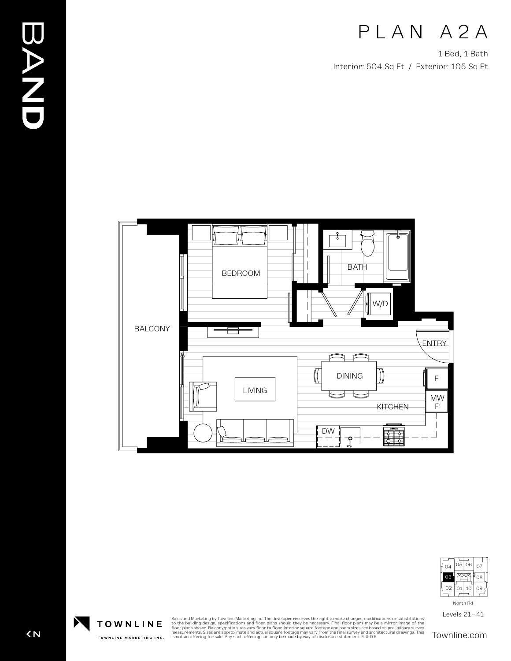## PLAN A2A

1 Bed, 1 Bath Interior: 504 Sq Ft / Exterior: 105 Sq Ft





Levels 21–41

Sales and Marketing by Townline Marketing Inc. The developer reserves the right to make changes, modifications or substitutions<br>to the building design, specifications and floor plans should they be necessary. Final floor p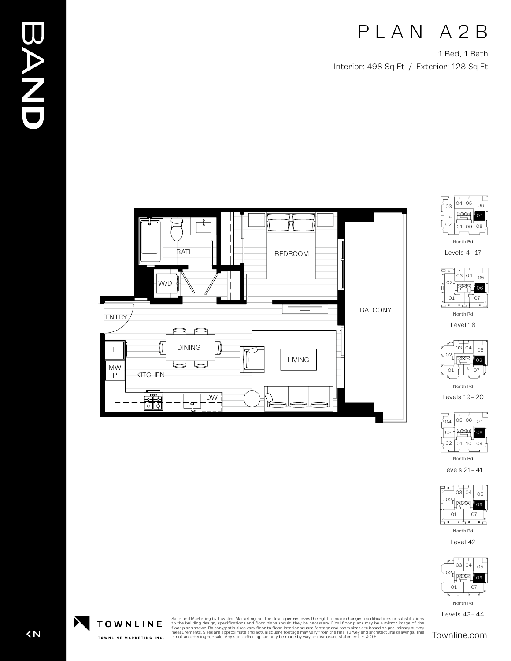## PLAN A2B

1 Bed, 1 Bath Interior: 498 Sq Ft / Exterior: 128 Sq Ft

BALCONY



DW

 $\begin{array}{c}\n\cdot \\
\cdot \\
\cdot \\
\cdot \\
\cdot\n\end{array}$ 



North Rd Levels 4–17



Level 18



North Rd

Levels 19–20



Levels 21–41



Level 42



North Rd

Levels 43–44

Sales and Marketing by Townline Marketing Inc. The developer reserves the right to make changes, modifications or substitutions<br>to the building design, specifications and floor plans should they be necessary. Final floor p





TOWNLINE MARKETING INC.